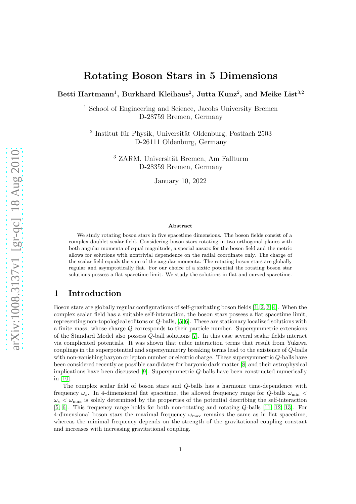# Rotating Boson Stars in 5 Dimensions

Betti Hartmann $^1,$  Burkhard Kleihaus $^2,$  Jutta Kunz $^2,$  and Meike List $^{\rm 3,2}$ 

<sup>1</sup> School of Engineering and Science, Jacobs University Bremen D-28759 Bremen, Germany

<sup>2</sup> Institut für Physik, Universität Oldenburg, Postfach 2503 D-26111 Oldenburg, Germany

> <sup>3</sup> ZARM, Universität Bremen, Am Fallturm D-28359 Bremen, Germany

> > January 10, 2022

#### Abstract

We study rotating boson stars in five spacetime dimensions. The boson fields consist of a complex doublet scalar field. Considering boson stars rotating in two orthogonal planes with both angular momenta of equal magnitude, a special ansatz for the boson field and the metric allows for solutions with nontrivial dependence on the radial coordinate only. The charge of the scalar field equals the sum of the angular momenta. The rotating boson stars are globally regular and asymptotically flat. For our choice of a sixtic potential the rotating boson star solutions possess a flat spacetime limit. We study the solutions in flat and curved spacetime.

# 1 Introduction

Boson stars are globally regular configurations of self-gravitating boson fields [\[1,](#page-14-0) [2,](#page-15-0) [3,](#page-15-1) [4\]](#page-15-2). When the complex scalar field has a suitable self-interaction, the boson stars possess a flat spacetime limit, representing non-topological solitons or Q-balls, [\[5,](#page-15-3) [6\]](#page-15-4). These are stationary localized solutions with a finite mass, whose charge Q corresponds to their particle number. Supersymmetric extensions of the Standard Model also possess Q-ball solutions [\[7\]](#page-15-5). In this case several scalar fields interact via complicated potentials. It was shown that cubic interaction terms that result from Yukawa couplings in the superpotential and supersymmetry breaking terms lead to the existence of Q-balls with non-vanishing baryon or lepton number or electric charge. These supersymmetric  $Q$ -balls have been considered recently as possible candidates for baryonic dark matter [\[8\]](#page-15-6) and their astrophysical implications have been discussed [\[9\]](#page-15-7). Supersymmetric Q-balls have been constructed numerically in [\[10\]](#page-15-8).

The complex scalar field of boson stars and Q-balls has a harmonic time-dependence with frequency  $\omega_s$ . In 4-dimensional flat spacetime, the allowed frequency range for Q-balls  $\omega_{\min}$  <  $\omega_s < \omega_{\text{max}}$  is solely determined by the properties of the potential describing the self-interaction [\[5,](#page-15-3) [6\]](#page-15-4). This frequency range holds for both non-rotating and rotating Q-balls [\[11,](#page-15-9) [12,](#page-15-10) [13\]](#page-15-11). For 4-dimensional boson stars the maximal frequency  $\omega_{\text{max}}$  remains the same as in flat spacetime, whereas the minimal frequency depends on the strength of the gravitational coupling constant and increases with increasing gravitational coupling.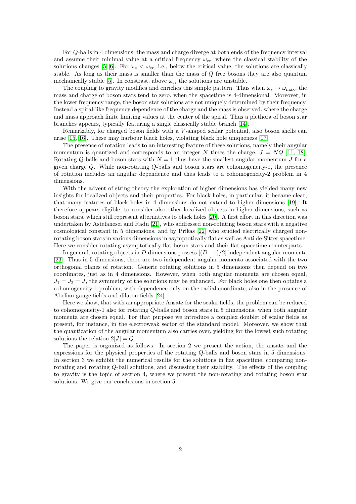For Q-balls in 4 dimensions, the mass and charge diverge at both ends of the frequency interval and assume their minimal value at a critical frequency  $\omega_{\rm cr}$ , where the classical stability of the solutions changes [\[5,](#page-15-3) [6\]](#page-15-4). For  $\omega_s < \omega_{cr}$ , i.e., below the critical value, the solutions are classically stable. As long as their mass is smaller than the mass of Q free bosons they are also quantum mechanically stable [\[5\]](#page-15-3). In constrast, above  $\omega_{\rm cr}$  the solutions are unstable.

The coupling to gravity modifies and enriches this simple pattern. Thus when  $\omega_s \to \omega_{\rm max}$ , the mass and charge of boson stars tend to zero, when the spacetime is 4-dimensional. Moreover, in the lower frequency range, the boson star solutions are not uniquely determined by their frequency. Instead a spiral-like frequency dependence of the charge and the mass is observed, where the charge and mass approach finite limiting values at the center of the spiral. Thus a plethora of boson star branches appears, typically featuring a single classically stable branch [\[14\]](#page-15-12).

Remarkably, for charged boson fields with a V -shaped scalar potential, also boson shells can arise [\[15,](#page-15-13) [16\]](#page-15-14). These may harbour black holes, violating black hole uniqueness [\[17\]](#page-15-15).

The presence of rotation leads to an interesting feature of these solutions, namely their angular momentum is quantized and corresponds to an integer N times the charge,  $J = NQ$  [\[11,](#page-15-9) [18\]](#page-15-16). Rotating Q-balls and boson stars with  $N = 1$  thus have the smallest angular momentum J for a given charge Q. While non-rotating Q-balls and boson stars are cohomogeneity-1, the presence of rotation includes an angular dependence and thus leads to a cohomogeneity-2 problem in 4 dimensions.

With the advent of string theory the exploration of higher dimensions has yielded many new insights for localized objects and their properties. For black holes, in particular, it became clear, that many features of black holes in 4 dimensions do not extend to higher dimensions [\[19\]](#page-15-17). It therefore appears eligible, to consider also other localized objects in higher dimensions, such as boson stars, which still represent alternatives to black holes [\[20\]](#page-15-18). A first effort in this direction was undertaken by Astefanesei and Radu [\[21\]](#page-16-0), who addressed non-rotating boson stars with a negative cosmological constant in 5 dimensions, and by Prikas [\[22\]](#page-16-1) who studied electrically charged nonrotating boson stars in various dimensions in asymptotically flat as well as Anti de-Sitter spacetime. Here we consider rotating asymptotically flat boson stars and their flat spacetime counterparts.

In general, rotating objects in D dimensions possess  $[(D-1)/2]$  independent angular momenta [\[23\]](#page-16-2). Thus in 5 dimensions, there are two independent angular momenta associated with the two orthogonal planes of rotation. Generic rotating solutions in 5 dimensions then depend on two coordinates, just as in 4 dimensions. However, when both angular momenta are chosen equal,  $J_1 = J_2 = J$ , the symmetry of the solutions may be enhanced. For black holes one then obtains a cohomogeneity-1 problem, with dependence only on the radial coordinate, also in the presence of Abelian gauge fields and dilaton fields [\[24\]](#page-16-3).

Here we show, that with an appropriate Ansatz for the scalar fields, the problem can be reduced to cohomogeneity-1 also for rotating Q-balls and boson stars in 5 dimensions, when both angular momenta are chosen equal. For that purpose we introduce a complex doublet of scalar fields as present, for instance, in the electroweak sector of the standard model. Moreover, we show that the quantization of the angular momentum also carries over, yielding for the lowest such rotating solutions the relation  $2|J| = Q$ .

The paper is organized as follows. In section 2 we present the action, the ansatz and the expressions for the physical properties of the rotating Q-balls and boson stars in 5 dimensions. In section 3 we exhibit the numerical results for the solutions in flat spacetime, comparing nonrotating and rotating Q-ball solutions, and discussing their stability. The effects of the coupling to gravity is the topic of section 4, where we present the non-rotating and rotating boson star solutions. We give our conclusions in section 5.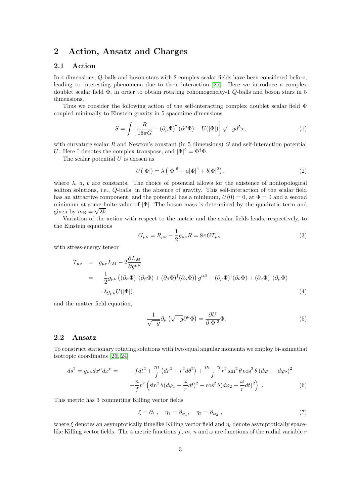# 2 Action, Ansatz and Charges

### 2.1 Action

In 4 dimensions, Q-balls and boson stars with 2 complex scalar fields have been considered before, leading to interesting phenomena due to their interaction [\[25\]](#page-16-4). Here we introduce a complex doublet scalar field Φ, in order to obtain rotating cohomogeneity-1 Q-balls and boson stars in 5 dimensions.

Thus we consider the following action of the self-interacting complex doublet scalar field Φ coupled minimally to Einstein gravity in 5 spacetime dimensions

$$
S = \int \left[ \frac{R}{16\pi G} - (\partial_{\mu} \Phi)^{\dagger} (\partial^{\mu} \Phi) - U(|\Phi|) \right] \sqrt{-g} d^{5}x, \tag{1}
$$

with curvature scalar  $R$  and Newton's constant (in 5 dimensions)  $G$  and self-interaction potential U. Here <sup>†</sup> denotes the complex transpose, and  $|\Phi|^2 = \Phi^{\dagger} \Phi$ .

The scalar potential  $U$  is chosen as

$$
U(|\Phi|) = \lambda (|\Phi|^6 - a|\Phi|^4 + b|\Phi|^2), \qquad (2)
$$

where  $\lambda$ , a, b are constants. The choice of potential allows for the existence of nontopological soliton solutions, i.e., Q-balls, in the absence of gravity. This self-interaction of the scalar field has an attractive component, and the potential has a minimum,  $U(0) = 0$ , at  $\Phi = 0$  and a second minimum at some finite value of  $|\Phi|$ . The boson mass is determined by the quadratic term and given by  $m_{\rm B} = \sqrt{\lambda b}$ .

Variation of the action with respect to the metric and the scalar fields leads, respectively, to the Einstein equations

$$
G_{\mu\nu} = R_{\mu\nu} - \frac{1}{2}g_{\mu\nu}R = 8\pi GT_{\mu\nu}
$$
 (3)

with stress-energy tensor

$$
T_{\mu\nu} = g_{\mu\nu} L_M - 2 \frac{\partial L_M}{\partial g^{\mu\nu}}
$$
  
= 
$$
-\frac{1}{2} g_{\mu\nu} \left( (\partial_\alpha \Phi)^\dagger (\partial_\beta \Phi) + (\partial_\beta \Phi)^\dagger (\partial_\alpha \Phi) \right) g^{\alpha\beta} + (\partial_\mu \Phi)^\dagger (\partial_\nu \Phi) + (\partial_\nu \Phi)^\dagger (\partial_\mu \Phi)
$$
  
- 
$$
\lambda g_{\mu\nu} U(|\Phi|), \qquad (4)
$$

and the matter field equation,

$$
\frac{1}{\sqrt{-g}}\partial_{\mu}\left(\sqrt{-g}\partial^{\mu}\Phi\right) = \frac{\partial U}{\partial|\Phi|^{2}}\Phi.
$$
\n(5)

### 2.2 Ansatz

To construct stationary rotating solutions with two equal angular momenta we employ bi-azimuthal isotropic coordinates [\[26,](#page-16-5) [24\]](#page-16-3)

$$
ds^{2} = g_{\mu\nu}dx^{\mu}dx^{\nu} = -fdt^{2} + \frac{m}{f}(dr^{2} + r^{2}d\theta^{2}) + \frac{m-n}{f}r^{2}\sin^{2}\theta\cos^{2}\theta (d\varphi_{1} - d\varphi_{2})^{2} + \frac{n}{f}r^{2}\left(\sin^{2}\theta(d\varphi_{1} - \frac{\omega}{r}dt)^{2} + \cos^{2}\theta(d\varphi_{2} - \frac{\omega}{r}dt)^{2}\right).
$$
 (6)

This metric has 3 commuting Killing vector fields

$$
\xi = \partial_t , \quad \eta_1 = \partial_{\varphi_1}, \quad \eta_2 = \partial_{\varphi_2} , \tag{7}
$$

where  $\xi$  denotes an asymptotically timelike Killing vector field and  $\eta_i$  denote asymptotically spacelike Killing vector fields. The 4 metric functions f, m, n and  $\omega$  are functions of the radial variable r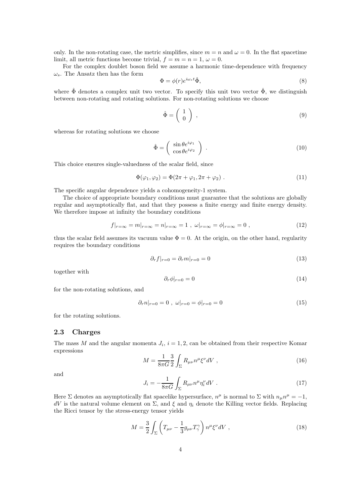only. In the non-rotating case, the metric simplifies, since  $m = n$  and  $\omega = 0$ . In the flat spacetime limit, all metric functions become trivial,  $f = m = n = 1, \omega = 0$ .

For the complex doublet boson field we assume a harmonic time-dependence with frequency  $\omega_s$ . The Ansatz then has the form

$$
\Phi = \phi(r)e^{i\omega_s t}\hat{\Phi},\tag{8}
$$

where  $\Phi$  denotes a complex unit two vector. To specify this unit two vector  $\Phi$ , we distinguish between non-rotating and rotating solutions. For non-rotating solutions we choose

$$
\hat{\Phi} = \left(\begin{array}{c} 1 \\ 0 \end{array}\right) , \tag{9}
$$

whereas for rotating solutions we choose

$$
\hat{\Phi} = \begin{pmatrix} \sin \theta e^{i\varphi_1} \\ \cos \theta e^{i\varphi_2} \end{pmatrix} . \tag{10}
$$

This choice ensures single-valuedness of the scalar field, since

$$
\Phi(\varphi_1, \varphi_2) = \Phi(2\pi + \varphi_1, 2\pi + \varphi_2) \tag{11}
$$

The specific angular dependence yields a cohomogeneity-1 system.

The choice of appropriate boundary conditions must guarantee that the solutions are globally regular and asymptotically flat, and that they possess a finite energy and finite energy density. We therefore impose at infinity the boundary conditions

$$
f|_{r=\infty} = m|_{r=\infty} = n|_{r=\infty} = 1 \ , \ \omega|_{r=\infty} = \phi|_{r=\infty} = 0 \ , \tag{12}
$$

thus the scalar field assumes its vacuum value  $\Phi = 0$ . At the origin, on the other hand, regularity requires the boundary conditions

$$
\partial_r f|_{r=0} = \partial_r m|_{r=0} = 0 \tag{13}
$$

together with

$$
\partial_r \phi|_{r=0} = 0 \tag{14}
$$

for the non-rotating solutions, and

$$
\partial_r n|_{r=0} = 0 \ , \ \omega|_{r=0} = \phi|_{r=0} = 0 \tag{15}
$$

for the rotating solutions.

### 2.3 Charges

The mass M and the angular momenta  $J_i$ ,  $i = 1, 2$ , can be obtained from their respective Komar expressions

$$
M = \frac{1}{8\pi G} \frac{3}{2} \int_{\Sigma} R_{\mu\nu} n^{\mu} \xi^{\nu} dV , \qquad (16)
$$

and

$$
J_i = -\frac{1}{8\pi G} \int_{\Sigma} R_{\mu\nu} n^{\mu} \eta_i^{\nu} dV \tag{17}
$$

Here  $\Sigma$  denotes an asymptotically flat spacelike hypersurface,  $n^{\mu}$  is normal to  $\Sigma$  with  $n_{\mu}n^{\mu} = -1$ ,  $dV$  is the natural volume element on Σ, and ξ and  $η<sub>i</sub>$  denote the Killing vector fields. Replacing the Ricci tensor by the stress-energy tensor yields

$$
M = \frac{3}{2} \int_{\Sigma} \left( T_{\mu\nu} - \frac{1}{3} g_{\mu\nu} T_{\gamma}^{\gamma} \right) n^{\mu} \xi^{\nu} dV , \qquad (18)
$$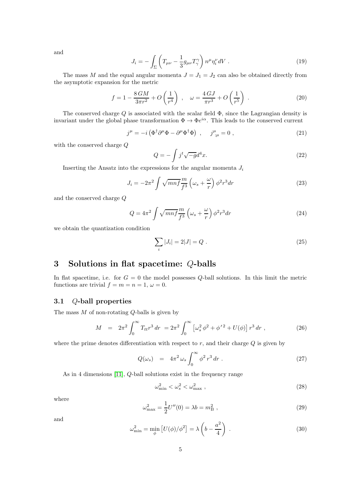and

$$
J_i = -\int_{\Sigma} \left( T_{\mu\nu} - \frac{1}{3} g_{\mu\nu} T_{\gamma}^{\gamma} \right) n^{\mu} \eta_i^{\nu} dV . \qquad (19)
$$

The mass M and the equal angular momenta  $J = J_1 = J_2$  can also be obtained directly from the asymptotic expansion for the metric

$$
f = 1 - \frac{8GM}{3\pi r^2} + O\left(\frac{1}{r^4}\right) , \quad \omega = \frac{4\,GJ}{\pi r^3} + O\left(\frac{1}{r^5}\right) . \tag{20}
$$

The conserved charge  $Q$  is associated with the scalar field  $\Phi$ , since the Lagrangian density is invariant under the global phase transformation  $\Phi \to \Phi e^{i\alpha}$ . This leads to the conserved current

$$
j^{\mu} = -i \left( \Phi^{\dagger} \partial^{\mu} \Phi - \partial^{\mu} \Phi^{\dagger} \Phi \right) , \quad j^{\mu}_{;\mu} = 0 , \qquad (21)
$$

with the conserved charge Q

$$
Q = -\int j^t \sqrt{-g} d^4 x. \tag{22}
$$

Inserting the Ansatz into the expressions for the angular momenta  $J_i$ 

$$
J_i = -2\pi^2 \int \sqrt{mn} f \frac{m}{f^3} \left(\omega_s + \frac{\omega}{r}\right) \phi^2 r^3 dr \tag{23}
$$

and the conserved charge Q

$$
Q = 4\pi^2 \int \sqrt{mnf} \frac{m}{f^3} \left(\omega_s + \frac{\omega}{r}\right) \phi^2 r^3 dr \tag{24}
$$

we obtain the quantization condition

$$
\sum_{i} |J_i| = 2|J| = Q.
$$
\n(25)

# 3 Solutions in flat spacetime: Q-balls

In flat spacetime, i.e. for  $G = 0$  the model possesses Q-ball solutions. In this limit the metric functions are trivial  $f = m = n = 1, \omega = 0.$ 

## 3.1 Q-ball properties

The mass  $M$  of non-rotating  $Q$ -balls is given by

$$
M = 2\pi^2 \int_0^\infty T_{tt} r^3 dr = 2\pi^2 \int_0^\infty \left[ \omega_s^2 \phi^2 + \phi'^2 + U(\phi) \right] r^3 dr , \qquad (26)
$$

where the prime denotes differentiation with respect to  $r$ , and their charge  $Q$  is given by

$$
Q(\omega_s) = 4\pi^2 \omega_s \int_0^\infty \phi^2 r^3 dr . \qquad (27)
$$

As in 4 dimensions [\[11\]](#page-15-9), Q-ball solutions exist in the frequency range

$$
\omega_{\min}^2 < \omega_s^2 < \omega_{\max}^2 \,,\tag{28}
$$

where

<span id="page-4-0"></span>
$$
\omega_{\text{max}}^2 = \frac{1}{2} U''(0) = \lambda b = m_\text{B}^2 \,,\tag{29}
$$

and

<span id="page-4-1"></span>
$$
\omega_{\min}^2 = \min_{\phi} \left[ U(\phi) / \phi^2 \right] = \lambda \left( b - \frac{a^2}{4} \right) . \tag{30}
$$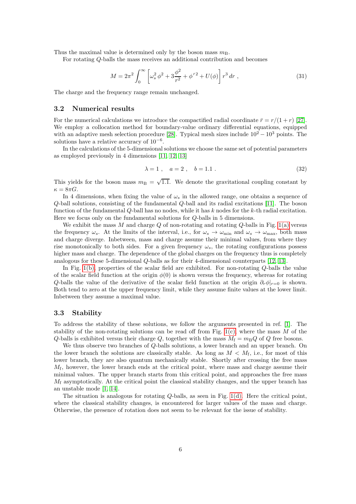Thus the maximal value is determined only by the boson mass  $m<sub>B</sub>$ .

For rotating Q-balls the mass receives an additional contribution and becomes

$$
M = 2\pi^2 \int_0^\infty \left[ \omega_s^2 \, \phi^2 + 3\frac{\phi^2}{r^2} + \phi'^2 + U(\phi) \right] r^3 \, dr \;, \tag{31}
$$

The charge and the frequency range remain unchanged.

### 3.2 Numerical results

For the numerical calculations we introduce the compactified radial coordinate  $\bar{r} = r/(1+r)$  [\[27\]](#page-16-6). We employ a collocation method for boundary-value ordinary differential equations, equipped with an adaptive mesh selection procedure [\[28\]](#page-16-7). Typical mesh sizes include  $10^2 - 10^3$  points. The solutions have a relative accuracy of  $10^{-6}$ .

In the calculations of the 5-dimensional solutions we choose the same set of potential parameters as employed previously in 4 dimensions [\[11,](#page-15-9) [12,](#page-15-10) [13\]](#page-15-11)

$$
\lambda = 1 \,, \quad a = 2 \,, \quad b = 1.1 \,. \tag{32}
$$

This yields for the boson mass  $m_B = \sqrt{1.1}$ . We denote the gravitational coupling constant by  $\kappa = 8\pi G$ .

In 4 dimensions, when fixing the value of  $\omega_s$  in the allowed range, one obtains a sequence of Q-ball solutions, consisting of the fundamental Q-ball and its radial excitations [\[11\]](#page-15-9). The boson function of the fundamental Q-ball has no nodes, while it has k nodes for the k-th radial excitation. Here we focus only on the fundamental solutions for Q-balls in 5 dimensions.

We exhibit the mass  $M$  and charge  $Q$  of non-rotating and rotating  $Q$ -balls in Fig. [1\(a\)](#page-6-0) versus the frequency  $\omega_s$ . At the limits of the interval, i.e., for  $\omega_s \to \omega_{\rm min}$  and  $\omega_s \to \omega_{\rm max}$ , both mass and charge diverge. Inbetween, mass and charge assume their minimal values, from where they rise monotonically to both sides. For a given frequency  $\omega_s$ , the rotating configurations possess higher mass and charge. The dependence of the global charges on the frequency thus is completely analogous for these 5-dimensional Q-balls as for their 4-dimensional counterparts [\[12,](#page-15-10) [13\]](#page-15-11).

In Fig.  $1(b)$ , properties of the scalar field are exhibited. For non-rotating  $Q$ -balls the value of the scalar field function at the origin  $\phi(0)$  is shown versus the frequency, whereas for rotating Q-balls the value of the derivative of the scalar field function at the origin  $\partial_r \phi|_{r=0}$  is shown. Both tend to zero at the upper frequency limit, while they assume finite values at the lower limit. Inbetween they assume a maximal value.

### 3.3 Stability

To address the stability of these solutions, we follow the arguments presented in ref. [\[1\]](#page-14-0). The stability of the non-rotating solutions can be read off from Fig.  $1(c)$ , where the mass M of the Q-balls is exhibited versus their charge Q, together with the mass  $M_f = m_B Q$  of Q free bosons.

We thus observe two branches of Q-balls solutions, a lower branch and an upper branch. On the lower branch the solutions are classically stable. As long as  $M < M_f$ , i.e., for most of this lower branch, they are also quantum mechanically stable. Shortly after crossing the free mass  $M_f$ , however, the lower branch ends at the critical point, where mass and charge assume their minimal values. The upper branch starts from this critical point, and approaches the free mass  $M_f$  asymptotically. At the critical point the classical stability changes, and the upper branch has an unstable mode [\[1,](#page-14-0) [14\]](#page-15-12).

The situation is analogous for rotating Q-balls, as seen in Fig. [1\(d\).](#page-6-3) Here the critical point, where the classical stability changes, is encountered for larger values of the mass and charge. Otherwise, the presence of rotation does not seem to be relevant for the issue of stability.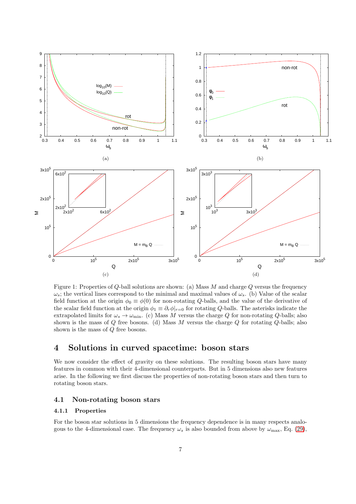<span id="page-6-1"></span><span id="page-6-0"></span>

<span id="page-6-3"></span><span id="page-6-2"></span>Figure 1: Properties of  $Q$ -ball solutions are shown: (a) Mass  $M$  and charge  $Q$  versus the frequency  $\omega_s$ ; the vertical lines correspond to the minimal and maximal values of  $\omega_s$ . (b) Value of the scalar field function at the origin  $\phi_0 \equiv \phi(0)$  for non-rotating Q-balls, and the value of the derivative of the scalar field function at the origin  $\phi_1 \equiv \partial_r \phi|_{r=0}$  for rotating Q-balls. The asterisks indicate the extrapolated limits for  $\omega_s \to \omega_{\rm min}$ . (c) Mass M versus the charge Q for non-rotating Q-balls; also shown is the mass of  $Q$  free bosons. (d) Mass  $M$  versus the charge  $Q$  for rotating  $Q$ -balls; also shown is the mass of  $Q$  free bosons.

# 4 Solutions in curved spacetime: boson stars

We now consider the effect of gravity on these solutions. The resulting boson stars have many features in common with their 4-dimensional counterparts. But in 5 dimensions also new features arise. In the following we first discuss the properties of non-rotating boson stars and then turn to rotating boson stars.

### 4.1 Non-rotating boson stars

### 4.1.1 Properties

For the boson star solutions in 5 dimensions the frequency dependence is in many respects analogous to the 4-dimensional case. The frequency  $\omega_s$  is also bounded from above by  $\omega_{\text{max}}$ , Eq. [\(29\)](#page-4-0),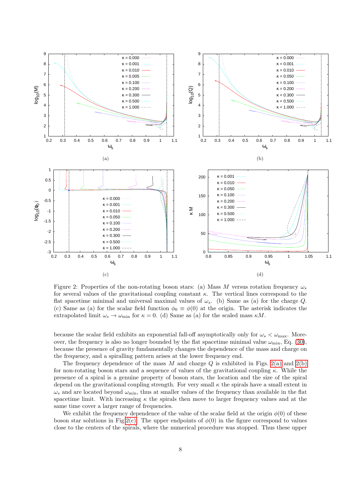<span id="page-7-0"></span>

<span id="page-7-3"></span><span id="page-7-2"></span><span id="page-7-1"></span>Figure 2: Properties of the non-rotating boson stars: (a) Mass M versus rotation frequency  $\omega_s$ for several values of the gravitational coupling constant  $\kappa$ . The vertical lines correspond to the flat spacetime minimal and universal maximal values of  $\omega_s$ . (b) Same as (a) for the charge Q. (c) Same as (a) for the scalar field function  $\phi_0 \equiv \phi(0)$  at the origin. The asterisk indicates the extrapolated limit  $\omega_s \to \omega_{\rm min}$  for  $\kappa = 0$ . (d) Same as (a) for the scaled mass  $\kappa M$ .

because the scalar field exhibits an exponential fall-off asymptotically only for  $\omega_s < \omega_{\text{max}}$ . Moreover, the frequency is also no longer bounded by the flat spacetime minimal value  $\omega_{\rm min}$ , Eq. [\(30\)](#page-4-1), because the presence of gravity fundamentally changes the dependence of the mass and charge on the frequency, and a spiralling pattern arises at the lower frequency end.

The frequency dependence of the mass  $M$  and charge  $Q$  is exhibited in Figs. [2\(a\)](#page-7-0) and [2\(b\)](#page-7-1) for non-rotating boson stars and a sequence of values of the gravitational coupling  $\kappa$ . While the presence of a spiral is a genuine property of boson stars, the location and the size of the spiral depend on the gravitational coupling strength. For very small  $\kappa$  the spirals have a small extent in  $\omega_s$  and are located beyond  $\omega_{\rm min}$ , thus at smaller values of the frequency than available in the flat spacetime limit. With increasing  $\kappa$  the spirals then move to larger frequency values and at the same time cover a larger range of frequencies.

We exhibit the frequency dependence of the value of the scalar field at the origin  $\phi(0)$  of these boson star solutions in Fig[.2\(c\).](#page-7-2) The upper endpoints of  $\phi(0)$  in the figure correspond to values close to the centers of the spirals, where the numerical procedure was stopped. Thus these upper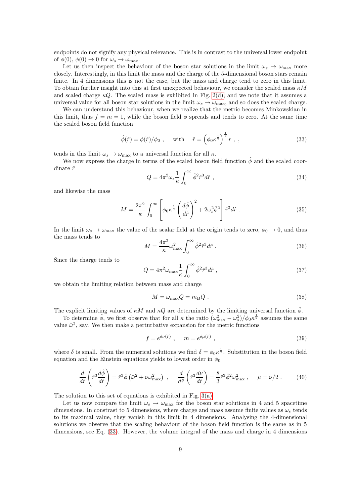endpoints do not signify any physical relevance. This is in contrast to the universal lower endpoint of  $\phi(0), \phi(0) \to 0$  for  $\omega_s \to \omega_{\text{max}}$ .

Let us then inspect the behaviour of the boson star solutions in the limit  $\omega_s \to \omega_{\text{max}}$  more closely. Interestingly, in this limit the mass and the charge of the 5-dimensional boson stars remain finite. In 4 dimensions this is not the case, but the mass and charge tend to zero in this limit. To obtain further insight into this at first unexpected behaviour, we consider the scaled mass  $\kappa M$ and scaled charge  $\kappa Q$ . The scaled mass is exhibited in Fig. [2\(d\),](#page-7-3) and we note that it assumes a universal value for all boson star solutions in the limit  $\omega_s \to \omega_{\text{max}}$ , and so does the scaled charge.

We can understand this behaviour, when we realize that the metric becomes Minkowskian in this limit, thus  $f = m = 1$ , while the boson field  $\phi$  spreads and tends to zero. At the same time the scaled boson field function

<span id="page-8-0"></span>
$$
\hat{\phi}(\hat{r}) = \phi(\hat{r})/\phi_0 , \quad \text{with} \quad \hat{r} = \left(\phi_0 \kappa^{\frac{1}{2}}\right)^{\frac{1}{2}} r , , \qquad (33)
$$

tends in this limit  $\omega_s \to \omega_{\text{max}}$  to a universal function for all  $\kappa$ .

We now express the charge in terms of the scaled boson field function  $\hat{\phi}$  and the scaled coordinate  $\hat{r}$ 

<span id="page-8-3"></span>
$$
Q = 4\pi^2 \omega_s \frac{1}{\kappa} \int_0^\infty \hat{\phi}^2 \hat{r}^3 d\hat{r} , \qquad (34)
$$

and likewise the mass

$$
M = \frac{2\pi^2}{\kappa} \int_0^\infty \left[ \phi_0 \kappa^{\frac{1}{2}} \left( \frac{d\hat{\phi}}{d\hat{r}} \right)^2 + 2\omega_s^2 \hat{\phi}^2 \right] \hat{r}^3 d\hat{r} . \tag{35}
$$

In the limit  $\omega_s \to \omega_{\text{max}}$  the value of the scalar field at the origin tends to zero,  $\phi_0 \to 0$ , and thus the mass tends to

<span id="page-8-2"></span>
$$
M = \frac{4\pi^2}{\kappa} \omega_{\text{max}}^2 \int_0^\infty \hat{\phi}^2 \hat{r}^3 d\hat{r} \ . \tag{36}
$$

Since the charge tends to

$$
Q = 4\pi^2 \omega_{\text{max}} \frac{1}{\kappa} \int_0^\infty \hat{\phi}^2 \hat{r}^3 d\hat{r} , \qquad (37)
$$

we obtain the limiting relation between mass and charge

<span id="page-8-1"></span>
$$
M = \omega_{\text{max}} Q = m_{\text{B}} Q \tag{38}
$$

The explicit limiting values of  $\kappa M$  and  $\kappa Q$  are determined by the limiting universal function  $\hat{\phi}$ .

To determine  $\hat{\phi}$ , we first observe that for all  $\kappa$  the ratio  $(\omega_{\text{max}}^2 - \omega_s^2)/\phi_0 \kappa^{\frac{1}{2}}$  assumes the same value  $\hat{\omega}^2$ , say. We then make a perturbative expansion for the metric functions

$$
f = e^{\delta \nu(\hat{r})} , \quad m = e^{\delta \mu(\hat{r})} , \qquad (39)
$$

where  $\delta$  is small. From the numerical solutions we find  $\delta = \phi_0 \kappa^{\frac{1}{2}}$ . Substitution in the boson field equation and the Einstein equations yields to lowest order in  $\phi_0$ 

$$
\frac{d}{d\hat{r}}\left(\hat{r}^3\frac{d\hat{\phi}}{d\hat{r}}\right) = \hat{r}^3\hat{\phi}\left(\hat{\omega}^2 + \nu\omega_{\text{max}}^2\right) , \quad \frac{d}{d\hat{r}}\left(\hat{r}^3\frac{d\nu}{d\hat{r}}\right) = \frac{8}{3}\hat{r}^3\hat{\phi}^2\omega_{\text{max}}^2 , \quad \mu = \nu/2 . \tag{40}
$$

The solution to this set of equations is exhibited in Fig. [3\(a\).](#page-9-0)

Let us now compare the limit  $\omega_s \to \omega_{\text{max}}$  for the boson star solutions in 4 and 5 spacetime dimensions. In constrast to 5 dimensions, where charge and mass assume finite values as  $\omega_s$  tends to its maximal value, they vanish in this limit in 4 dimensions. Analysing the 4-dimensional solutions we observe that the scaling behaviour of the boson field function is the same as in 5 dimensions, see Eq. [\(33\)](#page-8-0). However, the volume integral of the mass and charge in 4 dimensions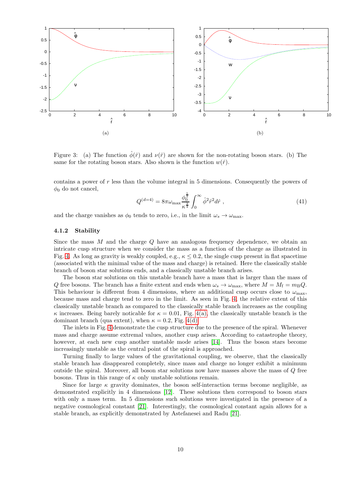

<span id="page-9-1"></span><span id="page-9-0"></span>Figure 3: (a) The function  $\hat{\phi}(\hat{r})$  and  $\nu(\hat{r})$  are shown for the non-rotating boson stars. (b) The same for the rotating boson stars. Also shown is the function  $w(\hat{r})$ .

contains a power of  $r$  less than the volume integral in 5 dimensions. Consequently the powers of  $\phi_0$  do not cancel,

$$
Q^{(d=4)} = 8\pi\omega_{\text{max}} \frac{\phi_0^{\frac{1}{2}}}{\kappa^{\frac{3}{4}}} \int_0^\infty \hat{\phi}^2 \hat{r}^2 d\hat{r} , \qquad (41)
$$

and the charge vanishes as  $\phi_0$  tends to zero, i.e., in the limit  $\omega_s \to \omega_{\text{max}}$ .

#### 4.1.2 Stability

Since the mass M and the charge Q have an analogous frequency dependence, we obtain an intricate cusp structure when we consider the mass as a function of the charge as illustrated in Fig. [4.](#page-10-0) As long as gravity is weakly coupled, e.g.,  $\kappa \leq 0.2$ , the single cusp present in flat spacetime (associated with the minimal value of the mass and charge) is retained. Here the classically stable branch of boson star solutions ends, and a classically unstable branch arises.

The boson star solutions on this unstable branch have a mass that is larger than the mass of Q free bosons. The branch has a finite extent and ends when  $\omega_s \to \omega_{\text{max}}$ , where  $M = M_f = m_B Q$ . This behaviour is different from 4 dimensions, where an additional cusp occurs close to  $\omega_{\text{max}}$ , because mass and charge tend to zero in the limit. As seen in Fig. [4,](#page-10-0) the relative extent of this classically unstable branch as compared to the classically stable branch increases as the coupling κ increases. Being barely noticable for κ = 0.01, Fig. [4\(a\),](#page-10-1) the classically unstable branch is the dominant branch (qua extent), when  $\kappa = 0.2$ , Fig. [4\(d\).](#page-10-2)

The inlets in Fig. [4](#page-10-0) demonstrate the cusp structure due to the presence of the spiral. Whenever mass and charge assume extremal values, another cusp arises. According to catastrophe theory, however, at each new cusp another unstable mode arises [\[14\]](#page-15-12). Thus the boson stars become increasingly unstable as the central point of the spiral is approached.

Turning finally to large values of the gravitational coupling, we observe, that the classically stable branch has disappeared completely, since mass and charge no longer exhibit a minimum outside the spiral. Moreover, all boson star solutions now have masses above the mass of Q free bosons. Thus in this range of  $\kappa$  only unstable solutions remain.

Since for large  $\kappa$  gravity dominates, the boson self-interaction terms become negligible, as demonstrated explicitly in 4 dimensions [\[12\]](#page-15-10). These solutions then correspond to boson stars with only a mass term. In 5 dimensions such solutions were investigated in the presence of a negative cosmological constant [\[21\]](#page-16-0). Interestingly, the cosmological constant again allows for a stable branch, as explicitly demonstrated by Astefanesei and Radu [\[21\]](#page-16-0).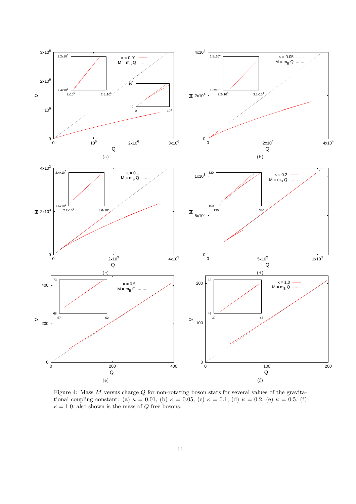<span id="page-10-1"></span>

<span id="page-10-2"></span><span id="page-10-0"></span>Figure 4: Mass M versus charge Q for non-rotating boson stars for several values of the gravitational coupling constant: (a)  $\kappa = 0.01$ , (b)  $\kappa = 0.05$ , (c)  $\kappa = 0.1$ , (d)  $\kappa = 0.2$ , (e)  $\kappa = 0.5$ , (f)  $\kappa = 1.0$ ; also shown is the mass of Q free bosons.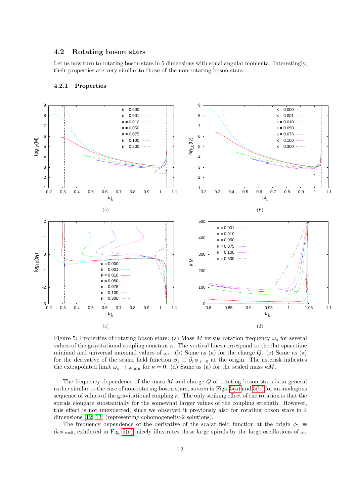### 4.2 Rotating boson stars

Let us now turn to rotating boson stars in 5 dimensions with equal angular momenta. Interestingly, their properties are very similar to those of the non-rotating boson stars.

<span id="page-11-0"></span>

#### <span id="page-11-1"></span>4.2.1 Properties

<span id="page-11-3"></span><span id="page-11-2"></span>Figure 5: Properties of rotating boson stars: (a) Mass M versus rotation frequency  $\omega_s$  for several values of the gravitational coupling constant  $\kappa$ . The vertical lines correspond to the flat spacetime minimal and universal maximal values of  $\omega_s$ . (b) Same as (a) for the charge Q. (c) Same as (a) for the derivative of the scalar field function  $\phi_1 \equiv \partial_r \phi|_{r=0}$  at the origin. The asterisk indicates the extrapolated limit  $\omega_s \to \omega_{\rm min}$  for  $\kappa = 0$ . (d) Same as (a) for the scaled mass  $\kappa M$ .

The frequency dependence of the mass  $M$  and charge  $Q$  of rotating boson stars is in general rather similar to the case of non-rotating boson stars, as seen in Figs. [5\(a\)](#page-11-0) and [5\(b\)](#page-11-1) for an analogous sequence of values of the gravitational coupling  $\kappa$ . The only striking effect of the rotation is that the spirals elongate substantially for the somewhat larger values of the coupling strength. However, this effect is not unexpected, since we observed it previously also for rotating boson stars in 4 dimensions [\[12,](#page-15-10) [13\]](#page-15-11) (representing cohomogeneity-2 solutions).

The frequency dependence of the derivative of the scalar field function at the origin  $\phi_1 \equiv$  $\partial_r \phi|_{r=0}$ , exhibited in Fig. [5\(c\),](#page-11-2) nicely illustrates these large spirals by the large oscillations of  $\omega_s$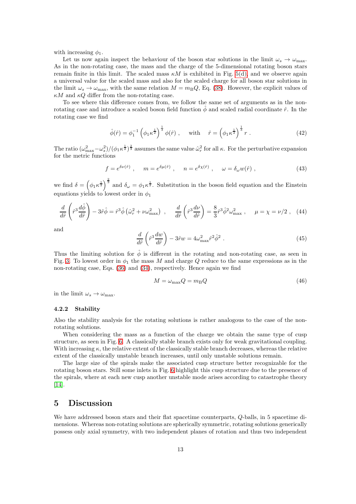with increasing  $\phi_1$ .

Let us now again inspect the behaviour of the boson star solutions in the limit  $\omega_s \to \omega_{\text{max}}$ . As in the non-rotating case, the mass and the charge of the 5-dimensional rotating boson stars remain finite in this limit. The scaled mass  $\kappa M$  is exhibited in Fig. [5\(d\),](#page-11-3) and we observe again a universal value for the scaled mass and also for the scaled charge for all boson star solutions in the limit  $\omega_s \to \omega_{\text{max}}$ , with the same relation  $M = m_\text{B}Q$ , Eq. [\(38\)](#page-8-1). However, the explicit values of  $\kappa M$  and  $\kappa Q$  differ from the non-rotating case.

To see where this difference comes from, we follow the same set of arguments as in the nonrotating case and introduce a scaled boson field function  $\hat{\phi}$  and scaled radial coordinate  $\hat{r}$ . In the rotating case we find

$$
\hat{\phi}(\hat{r}) = \phi_1^{-1} \left( \phi_1 \kappa^{\frac{1}{2}} \right)^{\frac{1}{3}} \phi(\hat{r}), \quad \text{ with } \quad \hat{r} = \left( \phi_1 \kappa^{\frac{1}{2}} \right)^{\frac{1}{3}} r. \tag{42}
$$

The ratio  $(\omega_{\text{max}}^2 - \omega_s^2) / (\phi_1 \kappa^{\frac{1}{2}})^{\frac{2}{3}}$  assumes the same value  $\hat{\omega}_r^2$  for all  $\kappa$ . For the perturbative expansion for the metric functions

$$
f = e^{\delta \nu(\hat{r})} , \quad m = e^{\delta \mu(\hat{r})} , \quad n = e^{\delta \chi(\hat{r})} , \quad \omega = \delta_{\omega} w(\hat{r}) , \qquad (43)
$$

we find  $\delta = \left(\phi_1 \kappa^{\frac{1}{2}}\right)^{\frac{2}{3}}$  and  $\delta_{\omega} = \phi_1 \kappa^{\frac{1}{2}}$ . Substitution in the boson field equation and the Einstein equations yields to lowest order in  $\phi_1$ 

$$
\frac{d}{d\hat{r}}\left(\hat{r}^3\frac{d\hat{\phi}}{d\hat{r}}\right) - 3\hat{r}\hat{\phi} = \hat{r}^3\hat{\phi}\left(\hat{\omega}_r^2 + \nu\omega_{\text{max}}^2\right) , \quad \frac{d}{d\hat{r}}\left(\hat{r}^3\frac{d\nu}{d\hat{r}}\right) = \frac{8}{3}\hat{r}^3\hat{\phi}^2\omega_{\text{max}}^2 , \quad \mu = \chi = \nu/2 , \quad (44)
$$

and

$$
\frac{d}{d\hat{r}}\left(\hat{r}^3 \frac{dw}{d\hat{r}}\right) - 3\hat{r}w = 4\omega_{\text{max}}^2 \hat{r}^2 \hat{\phi}^2.
$$
\n(45)

Thus the limiting solution for  $\hat{\phi}$  is different in the rotating and non-rotating case, as seen in Fig. [3.](#page-9-1) To lowest order in  $\phi_1$  the mass M and charge Q reduce to the same expressions as in the non-rotating case, Eqs. [\(36\)](#page-8-2) and [\(34\)](#page-8-3), respectively. Hence again we find

$$
M = \omega_{\text{max}} Q = m_{\text{B}} Q \tag{46}
$$

in the limit  $\omega_s \rightarrow \omega_{\text{max}}$ .

#### 4.2.2 Stability

Also the stability analysis for the rotating solutions is rather analogous to the case of the nonrotating solutions.

When considering the mass as a function of the charge we obtain the same type of cusp structure, as seen in Fig. [6.](#page-13-0) A classically stable branch exists only for weak gravitational coupling. With increasing  $\kappa$ , the relative extent of the classically stable branch decreases, whereas the relative extent of the classically unstable branch increases, until only unstable solutions remain.

The large size of the spirals make the associated cusp structure better recognizable for the rotating boson stars. Still some inlets in Fig. [6](#page-13-0) highlight this cusp structure due to the presence of the spirals, where at each new cusp another unstable mode arises according to catastrophe theory [\[14\]](#page-15-12).

# 5 Discussion

We have addressed boson stars and their flat spacetime counterparts,  $Q$ -balls, in 5 spacetime dimensions. Whereas non-rotating solutions are spherically symmetric, rotating solutions generically possess only axial symmetry, with two independent planes of rotation and thus two independent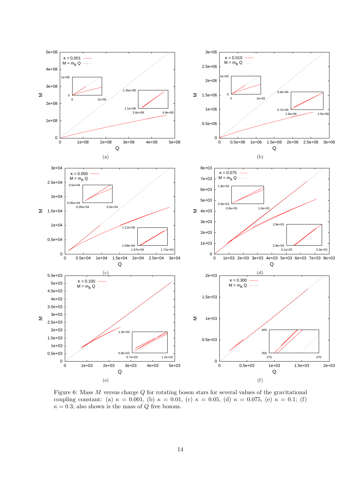

<span id="page-13-0"></span>Figure 6: Mass M versus charge Q for rotating boson stars for several values of the gravitational coupling constant: (a)  $\kappa = 0.001$ , (b)  $\kappa = 0.01$ , (c)  $\kappa = 0.05$ , (d)  $\kappa = 0.075$ , (e)  $\kappa = 0.1$ ; (f)  $\kappa = 0.3$ ; also shown is the mass of Q free bosons.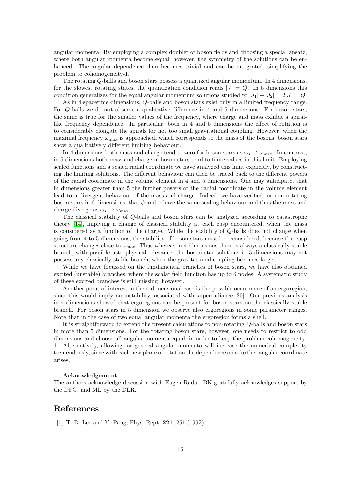angular momenta. By employing a complex doublet of boson fields and choosing a special ansatz, where both angular momenta become equal, however, the symmetry of the solutions can be enhanced. The angular dependence then becomes trivial and can be integrated, simplifying the problem to cohomogeneity-1.

The rotating Q-balls and boson stars possess a quantized angular momentum. In 4 dimensions, for the slowest rotating states, the quantization condition reads  $|J| = Q$ . In 5 dimensions this condition generalizes for the equal angular momentum solutions studied to  $|J_1|+|J_2|=2|J|=Q$ .

As in 4 spacetime dimensions, *Q*-balls and boson stars exist only in a limited frequency range. For Q-balls we do not observe a qualitative difference in 4 and 5 dimensions. For boson stars, the same is true for the smaller values of the frequency, where charge and mass exhibit a spirallike frequency dependence. In particular, both in 4 and 5 dimensions the effect of rotation is to considerably elongate the spirals for not too small gravitational coupling. However, when the maximal frequency  $\omega_{\text{max}}$  is approached, which corresponds to the mass of the bosons, boson stars show a qualitatively different limiting behaviour.

In 4 dimensions both mass and charge tend to zero for boson stars as  $\omega_s \to \omega_{\text{max}}$ . In contrast, in 5 dimensions both mass and charge of boson stars tend to finite values in this limit. Employing scaled functions and a scaled radial coordinate we have analyzed this limit explicitly, by constructing the limiting solutions. The different behaviour can then be traced back to the different powers of the radial coordinate in the volume element in 4 and 5 dimensions. One may anticipate, that in dimensions greater than 5 the further powers of the radial coordinate in the volume element lead to a divergent behaviour of the mass and charge. Indeed, we have verified for non-rotating boson stars in 6 dimensions, that  $\phi$  and  $\nu$  have the same scaling behaviour and thus the mass and charge diverge as  $\omega_s \rightarrow \omega_{\text{max}}$ .

The classical stability of Q-balls and boson stars can be analyzed according to catastrophe theory [\[14\]](#page-15-12), implying a change of classical stability at each cusp encountered, when the mass is considered as a function of the charge. While the stability of Q-balls does not change when going from 4 to 5 dimensions, the stability of boson stars must be reconsidered, because the cusp structure changes close to  $\omega_{\text{max}}$ . Thus whereas in 4 dimensions there is always a classically stable branch, with possible astrophysical relevance, the boson star solutions in 5 dimensions may not possess any classically stable branch, when the gravitational coupling becomes large.

While we have focussed on the fundamental branches of boson stars, we have also obtained excited (unstable) branches, where the scalar field function has up to 6 nodes. A systematic study of these excited branches is still missing, however.

Another point of interest in the 4-dimensional case is the possible occurrence of an ergoregion, since this would imply an instability, associated with superradiance [\[20\]](#page-15-18). Our previous analysis in 4 dimensions showed that ergoregions can be present for boson stars on the classically stable branch. For boson stars in 5 dimension we observe also ergoregions in some parameter ranges. Note that in the case of two equal angular momenta the ergoregion forms a shell.

It is straightforward to extend the present calculations to non-rotating Q-balls and boson stars in more than 5 dimensions. For the rotating boson stars, however, one needs to restrict to odd dimensions and choose all angular momenta equal, in order to keep the problem cohomogeneity-1. Alternatively, allowing for general angular momenta will increase the numerical complexity tremendously, since with each new plane of rotation the dependence on a further angular coordinate arises.

#### Acknowledgement

The authors acknowledge discussion with Eugen Radu. BK gratefully acknowledges support by the DFG, and ML by the DLR.

## <span id="page-14-0"></span>References

[1] T. D. Lee and Y. Pang, Phys. Rept. **221**, 251 (1992).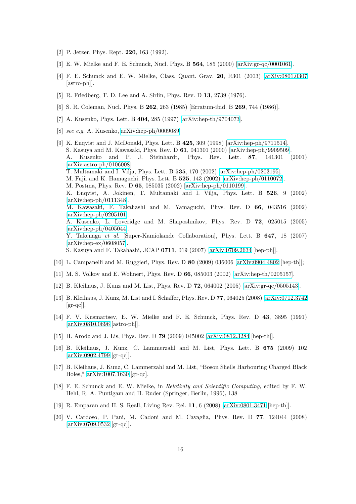- <span id="page-15-1"></span><span id="page-15-0"></span>[2] P. Jetzer, Phys. Rept. 220, 163 (1992).
- <span id="page-15-2"></span>[3] E. W. Mielke and F. E. Schunck, Nucl. Phys. B **564**, 185 (2000) [\[arXiv:gr-qc/0001061\]](http://arxiv.org/abs/gr-qc/0001061).
- [4] F. E. Schunck and E. W. Mielke, Class. Quant. Grav. 20, R301 (2003) [\[arXiv:0801.0307](http://arxiv.org/abs/0801.0307) [astro-ph]].
- <span id="page-15-4"></span><span id="page-15-3"></span>[5] R. Friedberg, T. D. Lee and A. Sirlin, Phys. Rev. D 13, 2739 (1976).
- <span id="page-15-5"></span>[6] S. R. Coleman, Nucl. Phys. B 262, 263 (1985) [Erratum-ibid. B 269, 744 (1986)].
- <span id="page-15-6"></span>[7] A. Kusenko, Phys. Lett. B 404, 285 (1997) [\[arXiv:hep-th/9704073\]](http://arxiv.org/abs/hep-th/9704073).
- <span id="page-15-7"></span>[8] see e.g. A. Kusenko, [arXiv:hep-ph/0009089.](http://arxiv.org/abs/hep-ph/0009089)
- [9] K. Enqvist and J. McDonald, Phys. Lett. B 425, 309 (1998) [\[arXiv:hep-ph/9711514\]](http://arxiv.org/abs/hep-ph/9711514). S. Kasuya and M. Kawasaki, Phys. Rev. D 61, 041301 (2000) [\[arXiv:hep-ph/9909509\]](http://arxiv.org/abs/hep-ph/9909509). A. Kusenko and P. J. Steinhardt, Phys. Rev. Lett. 87, 141301 (2001) [\[arXiv:astro-ph/0106008\]](http://arxiv.org/abs/astro-ph/0106008). T. Multamaki and I. Vilja, Phys. Lett. B 535, 170 (2002) [\[arXiv:hep-ph/0203195\]](http://arxiv.org/abs/hep-ph/0203195). M. Fujii and K. Hamaguchi, Phys. Lett. B 525, 143 (2002) [\[arXiv:hep-ph/0110072\]](http://arxiv.org/abs/hep-ph/0110072). M. Postma, Phys. Rev. D 65, 085035 (2002) [\[arXiv:hep-ph/0110199\]](http://arxiv.org/abs/hep-ph/0110199). K. Enqvist, A. Jokinen, T. Multamaki and I. Vilja, Phys. Lett. B 526, 9 (2002) [\[arXiv:hep-ph/0111348\]](http://arxiv.org/abs/hep-ph/0111348). M. Kawasaki, F. Takahashi and M. Yamaguchi, Phys. Rev. D 66, 043516 (2002) [\[arXiv:hep-ph/0205101\]](http://arxiv.org/abs/hep-ph/0205101). A. Kusenko, L. Loveridge and M. Shaposhnikov, Phys. Rev. D 72, 025015 (2005) [\[arXiv:hep-ph/0405044\]](http://arxiv.org/abs/hep-ph/0405044). Y. Takenaga et al. [Super-Kamiokande Collaboration], Phys. Lett. B 647, 18 (2007) [\[arXiv:hep-ex/0608057\]](http://arxiv.org/abs/hep-ex/0608057). S. Kasuya and F. Takahashi, JCAP 0711, 019 (2007) [\[arXiv:0709.2634](http://arxiv.org/abs/0709.2634) [hep-ph]].
- <span id="page-15-9"></span><span id="page-15-8"></span>[10] L. Campanelli and M. Ruggieri, Phys. Rev. D 80 (2009) 036006 [\[arXiv:0904.4802](http://arxiv.org/abs/0904.4802) [hep-th]];
- <span id="page-15-10"></span>[11] M. S. Volkov and E. Wohnert, Phys. Rev. D 66, 085003 (2002) [\[arXiv:hep-th/0205157\]](http://arxiv.org/abs/hep-th/0205157).
- <span id="page-15-11"></span>[12] B. Kleihaus, J. Kunz and M. List, Phys. Rev. D 72, 064002 (2005) [\[arXiv:gr-qc/0505143\]](http://arxiv.org/abs/gr-qc/0505143).
- [13] B. Kleihaus, J. Kunz, M. List and I. Schaffer, Phys. Rev. D 77, 064025 (2008) [\[arXiv:0712.3742](http://arxiv.org/abs/0712.3742)  $\left[\text{gr-qc}\right]$ .
- <span id="page-15-12"></span>[14] F. V. Kusmartsev, E. W. Mielke and F. E. Schunck, Phys. Rev. D 43, 3895 (1991) [\[arXiv:0810.0696](http://arxiv.org/abs/0810.0696) [astro-ph]].
- <span id="page-15-14"></span><span id="page-15-13"></span>[15] H. Arodz and J. Lis, Phys. Rev. D 79 (2009) 045002 [\[arXiv:0812.3284](http://arxiv.org/abs/0812.3284) [hep-th]].
- [16] B. Kleihaus, J. Kunz, C. Lammerzahl and M. List, Phys. Lett. B 675 (2009) 102 [\[arXiv:0902.4799](http://arxiv.org/abs/0902.4799) [gr-qc]].
- <span id="page-15-15"></span>[17] B. Kleihaus, J. Kunz, C. Lammerzahl and M. List, "Boson Shells Harbouring Charged Black Holes," [arXiv:1007.1630](http://arxiv.org/abs/1007.1630) [gr-qc].
- <span id="page-15-16"></span>[18] F. E. Schunck and E. W. Mielke, in Relativity and Scientific Computing, edited by F. W. Hehl, R. A. Puntigam and H. Ruder (Springer, Berlin, 1996), 138
- <span id="page-15-18"></span><span id="page-15-17"></span>[19] R. Emparan and H. S. Reall, Living Rev. Rel. 11, 6 (2008) [\[arXiv:0801.3471](http://arxiv.org/abs/0801.3471) [hep-th]].
- [20] V. Cardoso, P. Pani, M. Cadoni and M. Cavaglia, Phys. Rev. D 77, 124044 (2008) [\[arXiv:0709.0532](http://arxiv.org/abs/0709.0532) [gr-qc]].